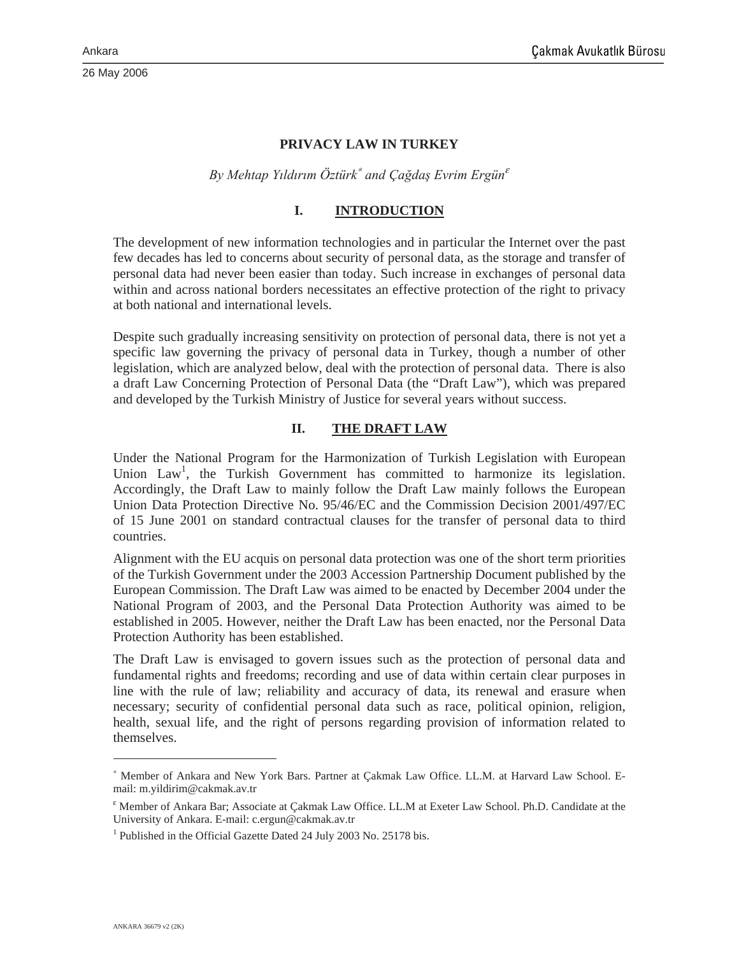#### **PRIVACY LAW IN TURKEY**

*By Mehtap YÕldÕrÕm Öztürk*<sup>∗</sup> *and Ça÷daú Evrim Ergün*<sup>ε</sup>

#### **I. INTRODUCTION**

The development of new information technologies and in particular the Internet over the past few decades has led to concerns about security of personal data, as the storage and transfer of personal data had never been easier than today. Such increase in exchanges of personal data within and across national borders necessitates an effective protection of the right to privacy at both national and international levels.

Despite such gradually increasing sensitivity on protection of personal data, there is not yet a specific law governing the privacy of personal data in Turkey, though a number of other legislation, which are analyzed below, deal with the protection of personal data. There is also a draft Law Concerning Protection of Personal Data (the "Draft Law"), which was prepared and developed by the Turkish Ministry of Justice for several years without success.

#### **II. THE DRAFT LAW**

Under the National Program for the Harmonization of Turkish Legislation with European Union Law<sup>1</sup>, the Turkish Government has committed to harmonize its legislation. Accordingly, the Draft Law to mainly follow the Draft Law mainly follows the European Union Data Protection Directive No. 95/46/EC and the Commission Decision 2001/497/EC of 15 June 2001 on standard contractual clauses for the transfer of personal data to third countries.

Alignment with the EU acquis on personal data protection was one of the short term priorities of the Turkish Government under the 2003 Accession Partnership Document published by the European Commission. The Draft Law was aimed to be enacted by December 2004 under the National Program of 2003, and the Personal Data Protection Authority was aimed to be established in 2005. However, neither the Draft Law has been enacted, nor the Personal Data Protection Authority has been established.

The Draft Law is envisaged to govern issues such as the protection of personal data and fundamental rights and freedoms; recording and use of data within certain clear purposes in line with the rule of law; reliability and accuracy of data, its renewal and erasure when necessary; security of confidential personal data such as race, political opinion, religion, health, sexual life, and the right of persons regarding provision of information related to themselves.

<sup>∗</sup> Member of Ankara and New York Bars. Partner at Çakmak Law Office. LL.M. at Harvard Law School. Email: m.yildirim@cakmak.av.tr

ε Member of Ankara Bar; Associate at Çakmak Law Office. LL.M at Exeter Law School. Ph.D. Candidate at the University of Ankara. E-mail: c.ergun@cakmak.av.tr

<sup>&</sup>lt;sup>1</sup> Published in the Official Gazette Dated 24 July 2003 No. 25178 bis.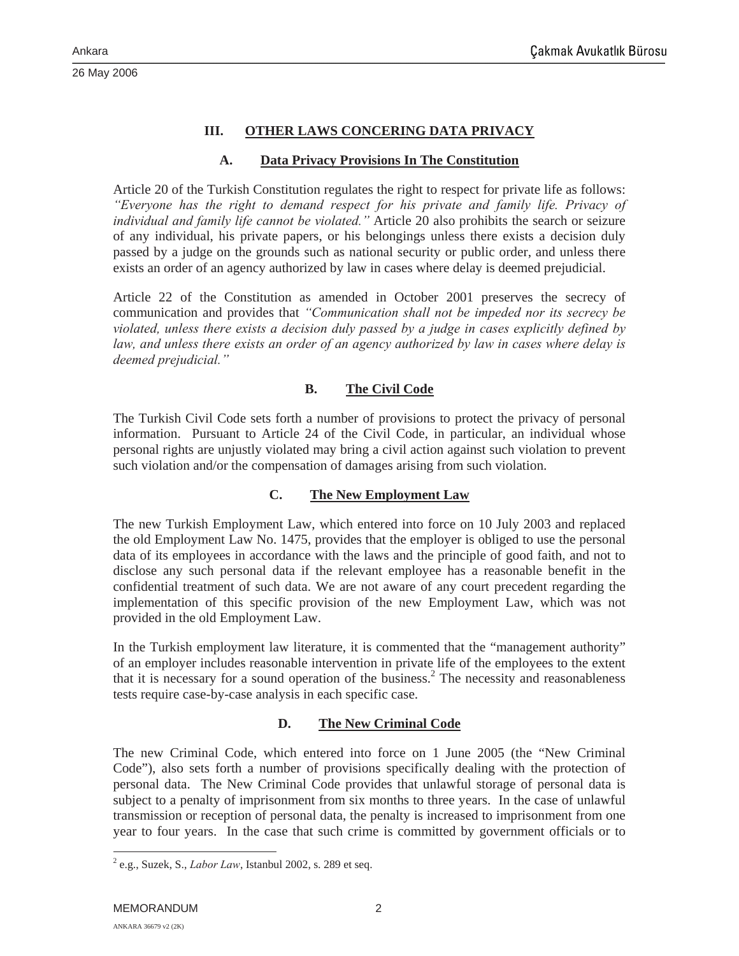### **III. OTHER LAWS CONCERING DATA PRIVACY**

#### **A. Data Privacy Provisions In The Constitution**

Article 20 of the Turkish Constitution regulates the right to respect for private life as follows: *"Everyone has the right to demand respect for his private and family life. Privacy of individual and family life cannot be violated."* Article 20 also prohibits the search or seizure of any individual, his private papers, or his belongings unless there exists a decision duly passed by a judge on the grounds such as national security or public order, and unless there exists an order of an agency authorized by law in cases where delay is deemed prejudicial.

Article 22 of the Constitution as amended in October 2001 preserves the secrecy of communication and provides that *"Communication shall not be impeded nor its secrecy be violated, unless there exists a decision duly passed by a judge in cases explicitly defined by*  law, and unless there exists an order of an agency authorized by law in cases where delay is *deemed prejudicial."*

#### **B. The Civil Code**

The Turkish Civil Code sets forth a number of provisions to protect the privacy of personal information. Pursuant to Article 24 of the Civil Code, in particular, an individual whose personal rights are unjustly violated may bring a civil action against such violation to prevent such violation and/or the compensation of damages arising from such violation.

#### **C. The New Employment Law**

The new Turkish Employment Law, which entered into force on 10 July 2003 and replaced the old Employment Law No. 1475, provides that the employer is obliged to use the personal data of its employees in accordance with the laws and the principle of good faith, and not to disclose any such personal data if the relevant employee has a reasonable benefit in the confidential treatment of such data. We are not aware of any court precedent regarding the implementation of this specific provision of the new Employment Law, which was not provided in the old Employment Law.

In the Turkish employment law literature, it is commented that the "management authority" of an employer includes reasonable intervention in private life of the employees to the extent that it is necessary for a sound operation of the business.<sup>2</sup> The necessity and reasonableness tests require case-by-case analysis in each specific case.

## **D. The New Criminal Code**

The new Criminal Code, which entered into force on 1 June 2005 (the "New Criminal Code"), also sets forth a number of provisions specifically dealing with the protection of personal data. The New Criminal Code provides that unlawful storage of personal data is subject to a penalty of imprisonment from six months to three years. In the case of unlawful transmission or reception of personal data, the penalty is increased to imprisonment from one year to four years. In the case that such crime is committed by government officials or to

<sup>2</sup> e.g., Suzek, S., *Labor Law*, Istanbul 2002, s. 289 et seq.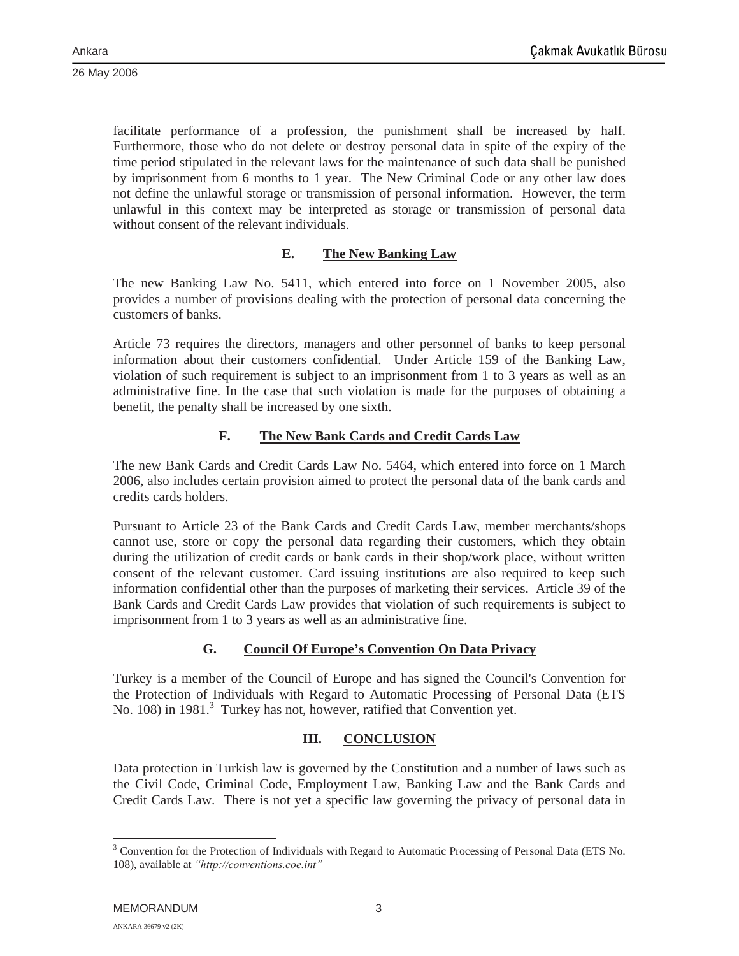facilitate performance of a profession, the punishment shall be increased by half. Furthermore, those who do not delete or destroy personal data in spite of the expiry of the time period stipulated in the relevant laws for the maintenance of such data shall be punished by imprisonment from 6 months to 1 year. The New Criminal Code or any other law does not define the unlawful storage or transmission of personal information. However, the term unlawful in this context may be interpreted as storage or transmission of personal data without consent of the relevant individuals.

## **E. The New Banking Law**

The new Banking Law No. 5411, which entered into force on 1 November 2005, also provides a number of provisions dealing with the protection of personal data concerning the customers of banks.

Article 73 requires the directors, managers and other personnel of banks to keep personal information about their customers confidential. Under Article 159 of the Banking Law, violation of such requirement is subject to an imprisonment from 1 to 3 years as well as an administrative fine. In the case that such violation is made for the purposes of obtaining a benefit, the penalty shall be increased by one sixth.

# **F. The New Bank Cards and Credit Cards Law**

The new Bank Cards and Credit Cards Law No. 5464, which entered into force on 1 March 2006, also includes certain provision aimed to protect the personal data of the bank cards and credits cards holders.

Pursuant to Article 23 of the Bank Cards and Credit Cards Law, member merchants/shops cannot use, store or copy the personal data regarding their customers, which they obtain during the utilization of credit cards or bank cards in their shop/work place, without written consent of the relevant customer. Card issuing institutions are also required to keep such information confidential other than the purposes of marketing their services. Article 39 of the Bank Cards and Credit Cards Law provides that violation of such requirements is subject to imprisonment from 1 to 3 years as well as an administrative fine.

# **G. Council Of Europe's Convention On Data Privacy**

Turkey is a member of the Council of Europe and has signed the Council's Convention for the Protection of Individuals with Regard to Automatic Processing of Personal Data (ETS No. 108) in 1981.<sup>3</sup> Turkey has not, however, ratified that Convention yet.

# **III. CONCLUSION**

Data protection in Turkish law is governed by the Constitution and a number of laws such as the Civil Code, Criminal Code, Employment Law, Banking Law and the Bank Cards and Credit Cards Law. There is not yet a specific law governing the privacy of personal data in

<sup>&</sup>lt;sup>3</sup> Convention for the Protection of Individuals with Regard to Automatic Processing of Personal Data (ETS No. 108), available at *"http://conventions.coe.int"*